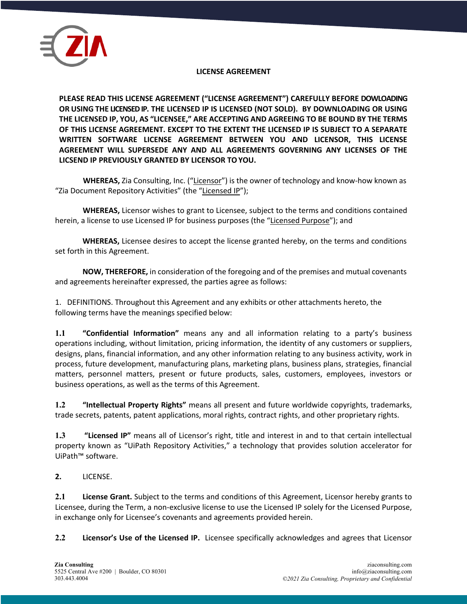

#### **LICENSE AGREEMENT**

**PLEASE READ THIS LICENSE AGREEMENT ("LICENSE AGREEMENT") CAREFULLY BEFORE DOWLOADING OR USING THE LICENSED IP. THE LICENSED IP IS LICENSED (NOT SOLD). BY DOWNLOADING OR USING THE LICENSED IP, YOU, AS "LICENSEE," ARE ACCEPTING AND AGREEING TO BE BOUND BY THE TERMS OF THIS LICENSE AGREEMENT. EXCEPT TO THE EXTENT THE LICENSED IP IS SUBJECT TO A SEPARATE WRITTEN SOFTWARE LICENSE AGREEMENT BETWEEN YOU AND LICENSOR, THIS LICENSE AGREEMENT WILL SUPERSEDE ANY AND ALL AGREEMENTS GOVERNING ANY LICENSES OF THE LICSEND IP PREVIOUSLY GRANTED BY LICENSOR TOYOU.**

**WHEREAS,** Zia Consulting, Inc. ("Licensor") is the owner of technology and know-how known as "Zia Document Repository Activities" (the "Licensed IP");

**WHEREAS,** Licensor wishes to grant to Licensee, subject to the terms and conditions contained herein, a license to use Licensed IP for business purposes (the "Licensed Purpose"); and

**WHEREAS,** Licensee desires to accept the license granted hereby, on the terms and conditions set forth in this Agreement.

**NOW, THEREFORE,** in consideration of the foregoing and of the premises and mutual covenants and agreements hereinafter expressed, the parties agree as follows:

1. DEFINITIONS. Throughout this Agreement and any exhibits or other attachments hereto, the following terms have the meanings specified below:

**1.1 "Confidential Information"** means any and all information relating to a party's business operations including, without limitation, pricing information, the identity of any customers or suppliers, designs, plans, financial information, and any other information relating to any business activity, work in process, future development, manufacturing plans, marketing plans, business plans, strategies, financial matters, personnel matters, present or future products, sales, customers, employees, investors or business operations, as well as the terms of this Agreement.

**1.2 "Intellectual Property Rights"** means all present and future worldwide copyrights, trademarks, trade secrets, patents, patent applications, moral rights, contract rights, and other proprietary rights.

**1.3 "Licensed IP"** means all of Licensor's right, title and interest in and to that certain intellectual property known as "UiPath Repository Activities," a technology that provides solution accelerator for UiPath™ software.

**2.** LICENSE.

**2.1 License Grant.** Subject to the terms and conditions of this Agreement, Licensor hereby grants to Licensee, during the Term, a non-exclusive license to use the Licensed IP solely for the Licensed Purpose, in exchange only for Licensee's covenants and agreements provided herein.

**2.2 Licensor's Use of the Licensed IP.** Licensee specifically acknowledges and agrees that Licensor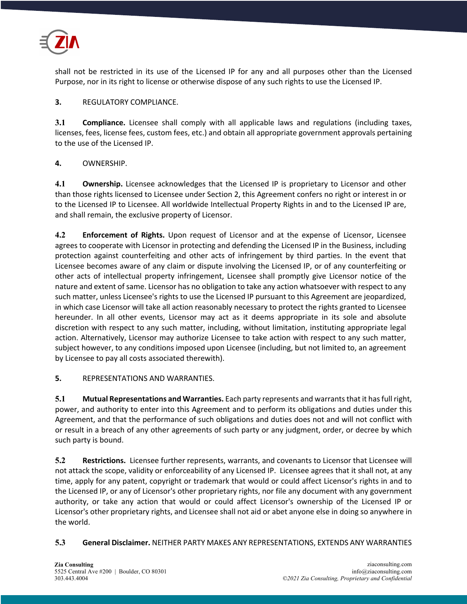

shall not be restricted in its use of the Licensed IP for any and all purposes other than the Licensed Purpose, nor in its right to license or otherwise dispose of any such rights to use the Licensed IP.

## **3.** REGULATORY COMPLIANCE.

**3.1 Compliance.** Licensee shall comply with all applicable laws and regulations (including taxes, licenses, fees, license fees, custom fees, etc.) and obtain all appropriate government approvals pertaining to the use of the Licensed IP.

# **4.** OWNERSHIP.

**4.1 Ownership.** Licensee acknowledges that the Licensed IP is proprietary to Licensor and other than those rights licensed to Licensee under Section 2, this Agreement confers no right or interest in or to the Licensed IP to Licensee. All worldwide Intellectual Property Rights in and to the Licensed IP are, and shall remain, the exclusive property of Licensor.

**4.2 Enforcement of Rights.** Upon request of Licensor and at the expense of Licensor, Licensee agrees to cooperate with Licensor in protecting and defending the Licensed IP in the Business, including protection against counterfeiting and other acts of infringement by third parties. In the event that Licensee becomes aware of any claim or dispute involving the Licensed IP, or of any counterfeiting or other acts of intellectual property infringement, Licensee shall promptly give Licensor notice of the nature and extent of same. Licensor has no obligation to take any action whatsoever with respect to any such matter, unless Licensee's rights to use the Licensed IP pursuant to this Agreement are jeopardized, in which case Licensor will take all action reasonably necessary to protect the rights granted to Licensee hereunder. In all other events, Licensor may act as it deems appropriate in its sole and absolute discretion with respect to any such matter, including, without limitation, instituting appropriate legal action. Alternatively, Licensor may authorize Licensee to take action with respect to any such matter, subject however, to any conditions imposed upon Licensee (including, but not limited to, an agreement by Licensee to pay all costs associated therewith).

**5.** REPRESENTATIONS AND WARRANTIES.

**5.1 Mutual Representations and Warranties.** Each party represents and warrants that it has full right, power, and authority to enter into this Agreement and to perform its obligations and duties under this Agreement, and that the performance of such obligations and duties does not and will not conflict with or result in a breach of any other agreements of such party or any judgment, order, or decree by which such party is bound.

**5.2 Restrictions.** Licensee further represents, warrants, and covenants to Licensor that Licensee will not attack the scope, validity or enforceability of any Licensed IP. Licensee agrees that it shall not, at any time, apply for any patent, copyright or trademark that would or could affect Licensor's rights in and to the Licensed IP, or any of Licensor's other proprietary rights, nor file any document with any government authority, or take any action that would or could affect Licensor's ownership of the Licensed IP or Licensor's other proprietary rights, and Licensee shall not aid or abet anyone else in doing so anywhere in the world.

**5.3 General Disclaimer.** NEITHER PARTY MAKES ANY REPRESENTATIONS, EXTENDS ANY WARRANTIES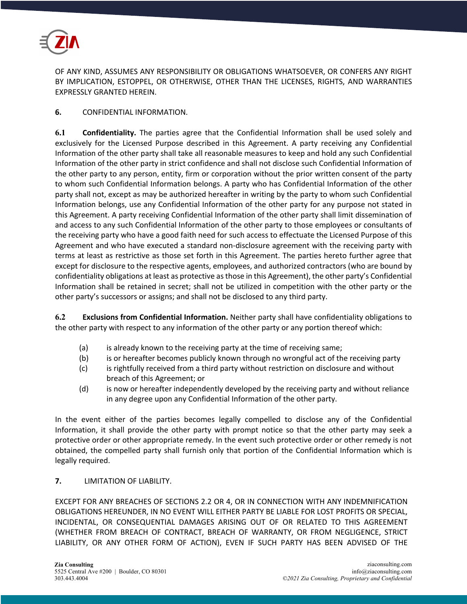

OF ANY KIND, ASSUMES ANY RESPONSIBILITY OR OBLIGATIONS WHATSOEVER, OR CONFERS ANY RIGHT BY IMPLICATION, ESTOPPEL, OR OTHERWISE, OTHER THAN THE LICENSES, RIGHTS, AND WARRANTIES EXPRESSLY GRANTED HEREIN.

## **6.** CONFIDENTIAL INFORMATION.

**6.1 Confidentiality.** The parties agree that the Confidential Information shall be used solely and exclusively for the Licensed Purpose described in this Agreement. A party receiving any Confidential Information of the other party shall take all reasonable measures to keep and hold any such Confidential Information of the other party in strict confidence and shall not disclose such Confidential Information of the other party to any person, entity, firm or corporation without the prior written consent of the party to whom such Confidential Information belongs. A party who has Confidential Information of the other party shall not, except as may be authorized hereafter in writing by the party to whom such Confidential Information belongs, use any Confidential Information of the other party for any purpose not stated in this Agreement. A party receiving Confidential Information of the other party shall limit dissemination of and access to any such Confidential Information of the other party to those employees or consultants of the receiving party who have a good faith need for such access to effectuate the Licensed Purpose of this Agreement and who have executed a standard non-disclosure agreement with the receiving party with terms at least as restrictive as those set forth in this Agreement. The parties hereto further agree that except for disclosure to the respective agents, employees, and authorized contractors (who are bound by confidentiality obligations at least as protective as those in this Agreement), the other party's Confidential Information shall be retained in secret; shall not be utilized in competition with the other party or the other party's successors or assigns; and shall not be disclosed to any third party.

**6.2 Exclusions from Confidential Information.** Neither party shall have confidentiality obligations to the other party with respect to any information of the other party or any portion thereof which:

- (a) is already known to the receiving party at the time of receiving same;
- (b) is or hereafter becomes publicly known through no wrongful act of the receiving party
- (c) is rightfully received from a third party without restriction on disclosure and without breach of this Agreement; or
- (d) is now or hereafter independently developed by the receiving party and without reliance in any degree upon any Confidential Information of the other party.

In the event either of the parties becomes legally compelled to disclose any of the Confidential Information, it shall provide the other party with prompt notice so that the other party may seek a protective order or other appropriate remedy. In the event such protective order or other remedy is not obtained, the compelled party shall furnish only that portion of the Confidential Information which is legally required.

#### **7.** LIMITATION OF LIABILITY.

EXCEPT FOR ANY BREACHES OF SECTIONS 2.2 OR 4, OR IN CONNECTION WITH ANY INDEMNIFICATION OBLIGATIONS HEREUNDER, IN NO EVENT WILL EITHER PARTY BE LIABLE FOR LOST PROFITS OR SPECIAL, INCIDENTAL, OR CONSEQUENTIAL DAMAGES ARISING OUT OF OR RELATED TO THIS AGREEMENT (WHETHER FROM BREACH OF CONTRACT, BREACH OF WARRANTY, OR FROM NEGLIGENCE, STRICT LIABILITY, OR ANY OTHER FORM OF ACTION), EVEN IF SUCH PARTY HAS BEEN ADVISED OF THE